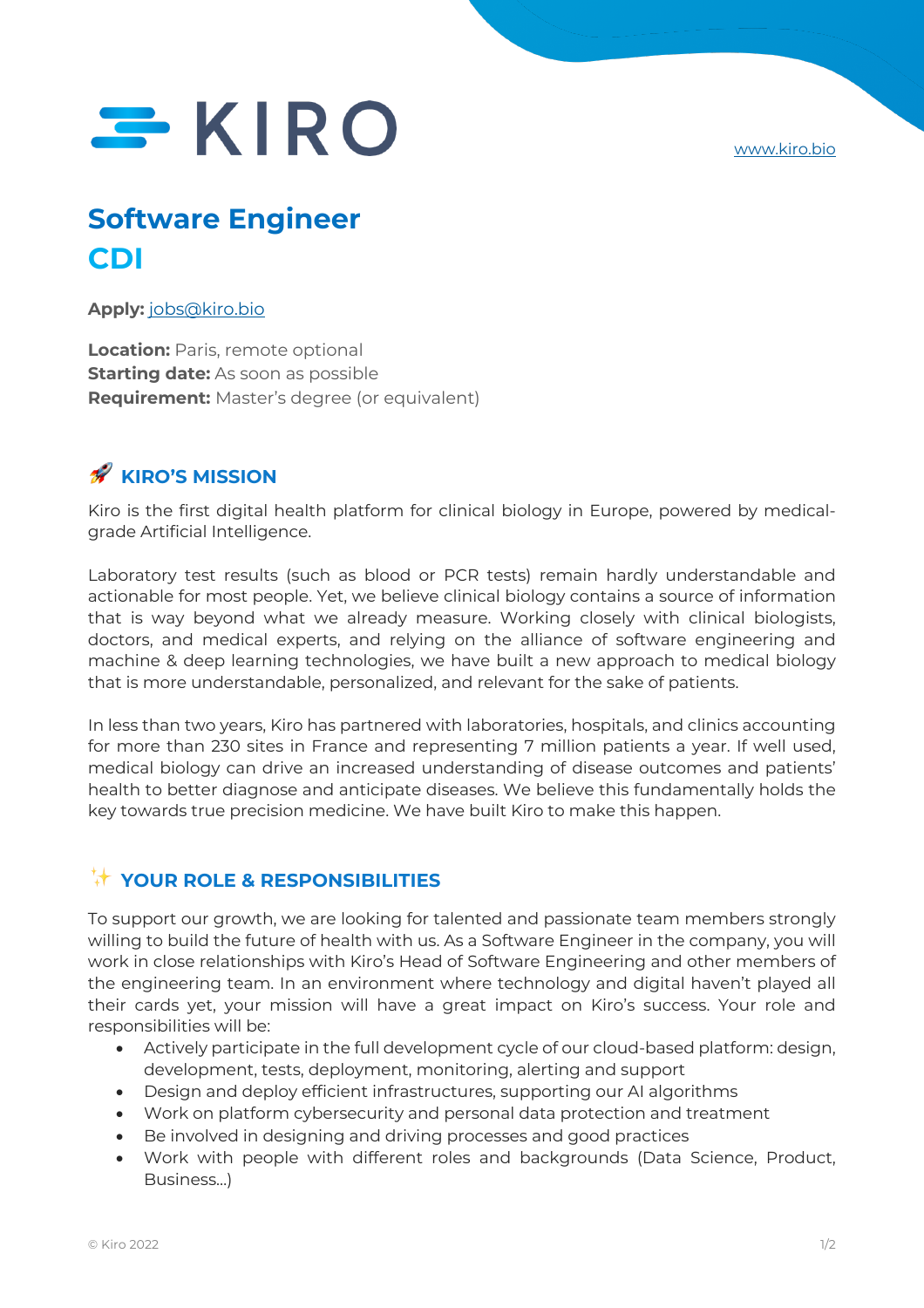www.kiro.bio

# $SKIRO$

# **Software Engineer CDI**

**Apply:** jobs@kiro.bio

**Location:** Paris, remote optional **Starting date:** As soon as possible **Requirement:** Master's degree (or equivalent)

## **KIRO'S MISSION**

Kiro is the first digital health platform for clinical biology in Europe, powered by medicalgrade Artificial Intelligence.

Laboratory test results (such as blood or PCR tests) remain hardly understandable and actionable for most people. Yet, we believe clinical biology contains a source of information that is way beyond what we already measure. Working closely with clinical biologists, doctors, and medical experts, and relying on the alliance of software engineering and machine & deep learning technologies, we have built a new approach to medical biology that is more understandable, personalized, and relevant for the sake of patients.

In less than two years, Kiro has partnered with laboratories, hospitals, and clinics accounting for more than 230 sites in France and representing 7 million patients a year. If well used, medical biology can drive an increased understanding of disease outcomes and patients' health to better diagnose and anticipate diseases. We believe this fundamentally holds the key towards true precision medicine. We have built Kiro to make this happen.

### ✨ **YOUR ROLE & RESPONSIBILITIES**

To support our growth, we are looking for talented and passionate team members strongly willing to build the future of health with us. As a Software Engineer in the company, you will work in close relationships with Kiro's Head of Software Engineering and other members of the engineering team. In an environment where technology and digital haven't played all their cards yet, your mission will have a great impact on Kiro's success. Your role and responsibilities will be:

- Actively participate in the full development cycle of our cloud-based platform: design, development, tests, deployment, monitoring, alerting and support
- Design and deploy efficient infrastructures, supporting our AI algorithms
- Work on platform cybersecurity and personal data protection and treatment
- Be involved in designing and driving processes and good practices
- Work with people with different roles and backgrounds (Data Science, Product, Business…)